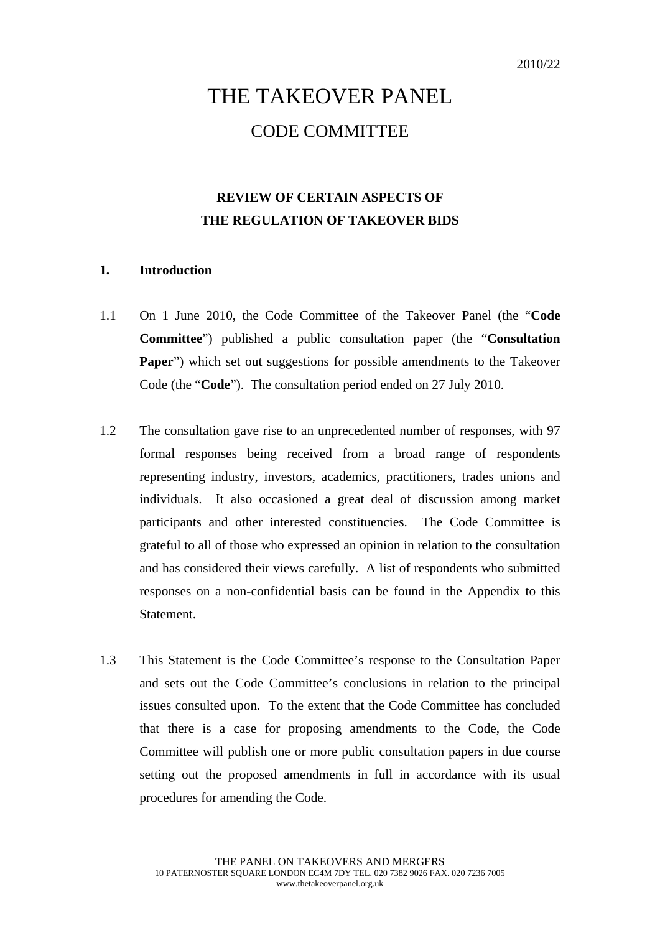# THE TAKEOVER PANEL CODE COMMITTEE

# **REVIEW OF CERTAIN ASPECTS OF THE REGULATION OF TAKEOVER BIDS**

## **1. Introduction**

- 1.1 On 1 June 2010, the Code Committee of the Takeover Panel (the "**Code Committee**") published a public consultation paper (the "**Consultation Paper**") which set out suggestions for possible amendments to the Takeover Code (the "**Code**"). The consultation period ended on 27 July 2010.
- 1.2 The consultation gave rise to an unprecedented number of responses, with 97 formal responses being received from a broad range of respondents representing industry, investors, academics, practitioners, trades unions and individuals. It also occasioned a great deal of discussion among market participants and other interested constituencies. The Code Committee is grateful to all of those who expressed an opinion in relation to the consultation and has considered their views carefully. A list of respondents who submitted responses on a non-confidential basis can be found in the Appendix to this **Statement**
- 1.3 This Statement is the Code Committee's response to the Consultation Paper and sets out the Code Committee's conclusions in relation to the principal issues consulted upon. To the extent that the Code Committee has concluded that there is a case for proposing amendments to the Code, the Code Committee will publish one or more public consultation papers in due course setting out the proposed amendments in full in accordance with its usual procedures for amending the Code.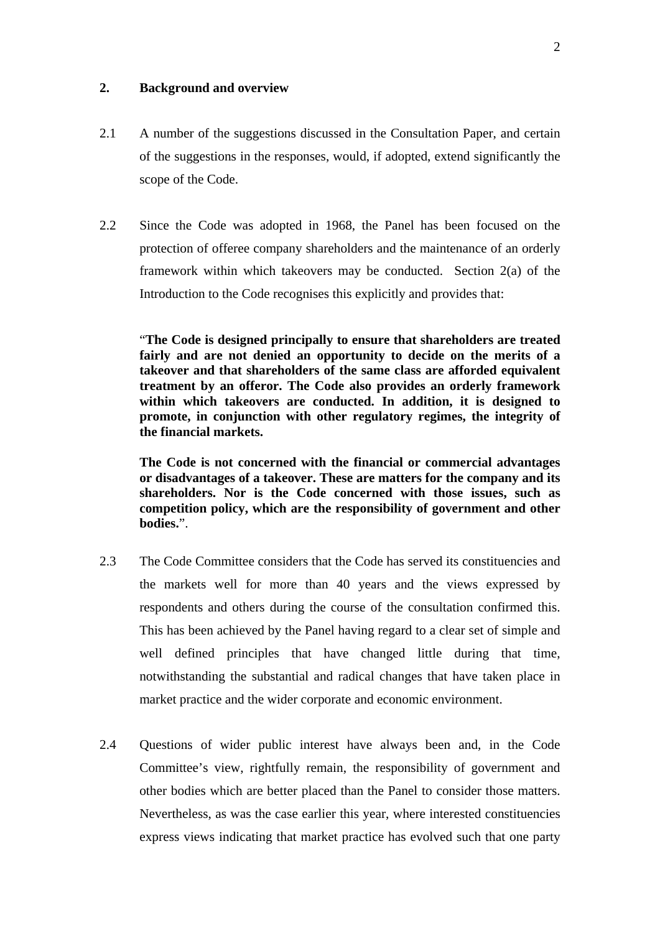### **2. Background and overview**

- 2.1 A number of the suggestions discussed in the Consultation Paper, and certain of the suggestions in the responses, would, if adopted, extend significantly the scope of the Code.
- 2.2 Since the Code was adopted in 1968, the Panel has been focused on the protection of offeree company shareholders and the maintenance of an orderly framework within which takeovers may be conducted. Section 2(a) of the Introduction to the Code recognises this explicitly and provides that:

"**The Code is designed principally to ensure that shareholders are treated fairly and are not denied an opportunity to decide on the merits of a takeover and that shareholders of the same class are afforded equivalent treatment by an offeror. The Code also provides an orderly framework within which takeovers are conducted. In addition, it is designed to promote, in conjunction with other regulatory regimes, the integrity of the financial markets.** 

**The Code is not concerned with the financial or commercial advantages or disadvantages of a takeover. These are matters for the company and its shareholders. Nor is the Code concerned with those issues, such as competition policy, which are the responsibility of government and other bodies.**".

- 2.3 The Code Committee considers that the Code has served its constituencies and the markets well for more than 40 years and the views expressed by respondents and others during the course of the consultation confirmed this. This has been achieved by the Panel having regard to a clear set of simple and well defined principles that have changed little during that time, notwithstanding the substantial and radical changes that have taken place in market practice and the wider corporate and economic environment.
- 2.4 Questions of wider public interest have always been and, in the Code Committee's view, rightfully remain, the responsibility of government and other bodies which are better placed than the Panel to consider those matters. Nevertheless, as was the case earlier this year, where interested constituencies express views indicating that market practice has evolved such that one party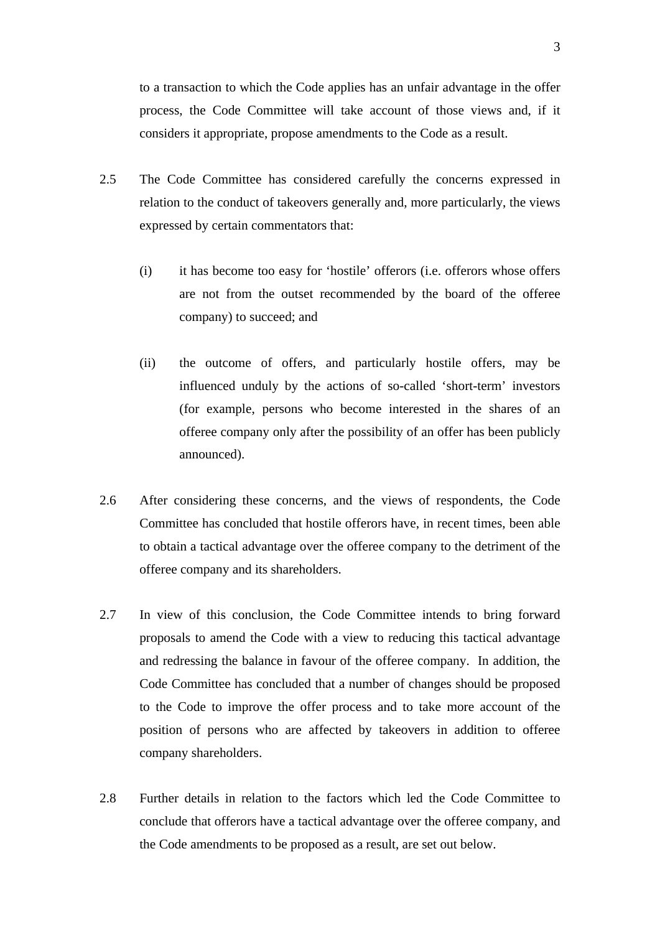to a transaction to which the Code applies has an unfair advantage in the offer process, the Code Committee will take account of those views and, if it considers it appropriate, propose amendments to the Code as a result.

- 2.5 The Code Committee has considered carefully the concerns expressed in relation to the conduct of takeovers generally and, more particularly, the views expressed by certain commentators that:
	- (i) it has become too easy for 'hostile' offerors (i.e. offerors whose offers are not from the outset recommended by the board of the offeree company) to succeed; and
	- (ii) the outcome of offers, and particularly hostile offers, may be influenced unduly by the actions of so-called 'short-term' investors (for example, persons who become interested in the shares of an offeree company only after the possibility of an offer has been publicly announced).
- 2.6 After considering these concerns, and the views of respondents, the Code Committee has concluded that hostile offerors have, in recent times, been able to obtain a tactical advantage over the offeree company to the detriment of the offeree company and its shareholders.
- 2.7 In view of this conclusion, the Code Committee intends to bring forward proposals to amend the Code with a view to reducing this tactical advantage and redressing the balance in favour of the offeree company. In addition, the Code Committee has concluded that a number of changes should be proposed to the Code to improve the offer process and to take more account of the position of persons who are affected by takeovers in addition to offeree company shareholders.
- 2.8 Further details in relation to the factors which led the Code Committee to conclude that offerors have a tactical advantage over the offeree company, and the Code amendments to be proposed as a result, are set out below.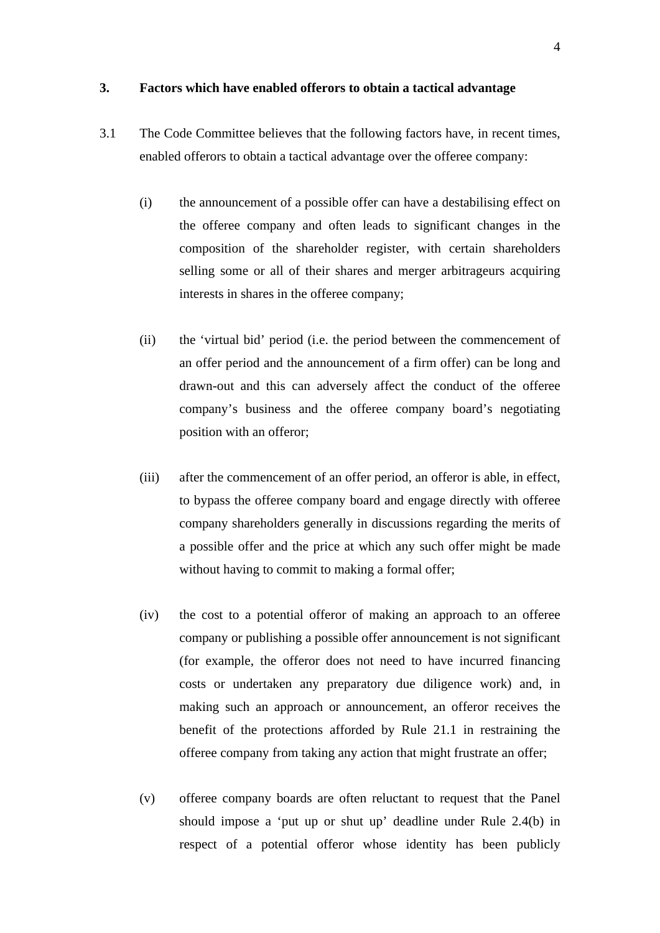#### **3. Factors which have enabled offerors to obtain a tactical advantage**

- 3.1 The Code Committee believes that the following factors have, in recent times, enabled offerors to obtain a tactical advantage over the offeree company:
	- (i) the announcement of a possible offer can have a destabilising effect on the offeree company and often leads to significant changes in the composition of the shareholder register, with certain shareholders selling some or all of their shares and merger arbitrageurs acquiring interests in shares in the offeree company;
	- (ii) the 'virtual bid' period (i.e. the period between the commencement of an offer period and the announcement of a firm offer) can be long and drawn-out and this can adversely affect the conduct of the offeree company's business and the offeree company board's negotiating position with an offeror;
	- (iii) after the commencement of an offer period, an offeror is able, in effect, to bypass the offeree company board and engage directly with offeree company shareholders generally in discussions regarding the merits of a possible offer and the price at which any such offer might be made without having to commit to making a formal offer;
	- (iv) the cost to a potential offeror of making an approach to an offeree company or publishing a possible offer announcement is not significant (for example, the offeror does not need to have incurred financing costs or undertaken any preparatory due diligence work) and, in making such an approach or announcement, an offeror receives the benefit of the protections afforded by Rule 21.1 in restraining the offeree company from taking any action that might frustrate an offer;
	- (v) offeree company boards are often reluctant to request that the Panel should impose a 'put up or shut up' deadline under Rule 2.4(b) in respect of a potential offeror whose identity has been publicly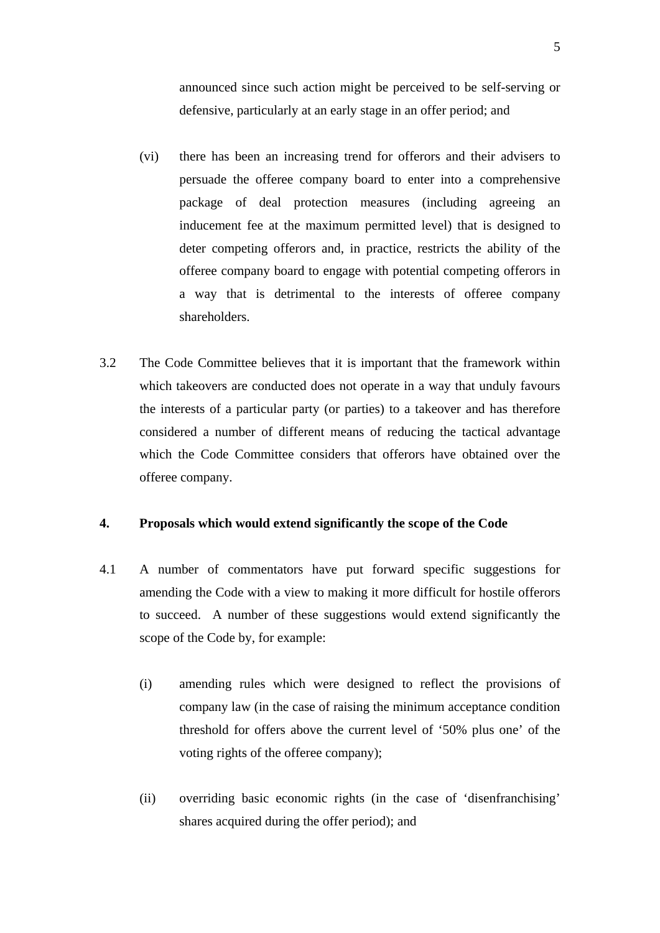announced since such action might be perceived to be self-serving or defensive, particularly at an early stage in an offer period; and

- (vi) there has been an increasing trend for offerors and their advisers to persuade the offeree company board to enter into a comprehensive package of deal protection measures (including agreeing an inducement fee at the maximum permitted level) that is designed to deter competing offerors and, in practice, restricts the ability of the offeree company board to engage with potential competing offerors in a way that is detrimental to the interests of offeree company shareholders.
- 3.2 The Code Committee believes that it is important that the framework within which takeovers are conducted does not operate in a way that unduly favours the interests of a particular party (or parties) to a takeover and has therefore considered a number of different means of reducing the tactical advantage which the Code Committee considers that offerors have obtained over the offeree company.

#### **4. Proposals which would extend significantly the scope of the Code**

- 4.1 A number of commentators have put forward specific suggestions for amending the Code with a view to making it more difficult for hostile offerors to succeed. A number of these suggestions would extend significantly the scope of the Code by, for example:
	- (i) amending rules which were designed to reflect the provisions of company law (in the case of raising the minimum acceptance condition threshold for offers above the current level of '50% plus one' of the voting rights of the offeree company);
	- (ii) overriding basic economic rights (in the case of 'disenfranchising' shares acquired during the offer period); and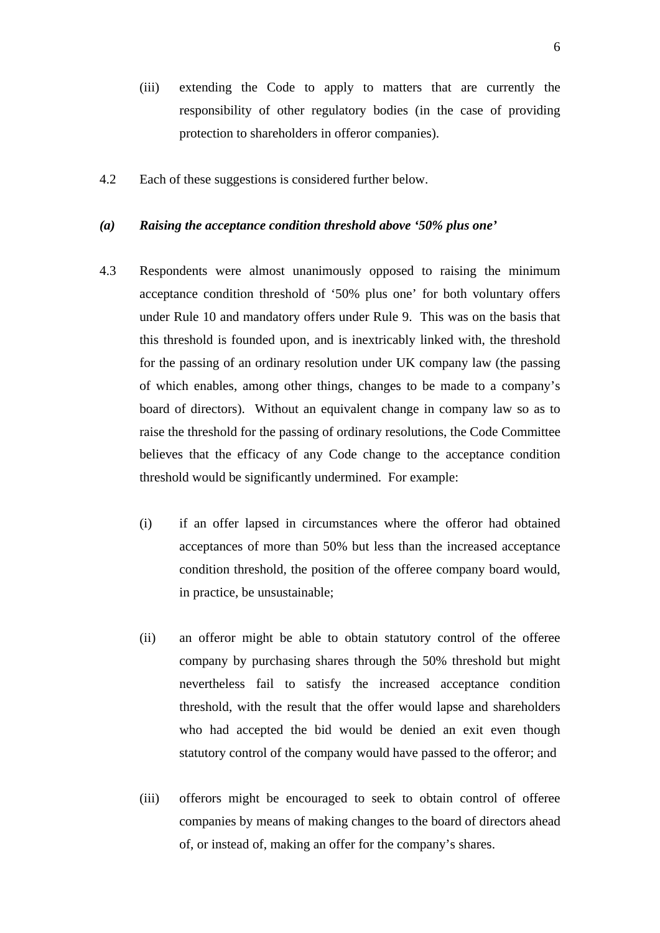- (iii) extending the Code to apply to matters that are currently the responsibility of other regulatory bodies (in the case of providing protection to shareholders in offeror companies).
- 4.2 Each of these suggestions is considered further below.

#### *(a) Raising the acceptance condition threshold above '50% plus one'*

- 4.3 Respondents were almost unanimously opposed to raising the minimum acceptance condition threshold of '50% plus one' for both voluntary offers under Rule 10 and mandatory offers under Rule 9. This was on the basis that this threshold is founded upon, and is inextricably linked with, the threshold for the passing of an ordinary resolution under UK company law (the passing of which enables, among other things, changes to be made to a company's board of directors). Without an equivalent change in company law so as to raise the threshold for the passing of ordinary resolutions, the Code Committee believes that the efficacy of any Code change to the acceptance condition threshold would be significantly undermined. For example:
	- (i) if an offer lapsed in circumstances where the offeror had obtained acceptances of more than 50% but less than the increased acceptance condition threshold, the position of the offeree company board would, in practice, be unsustainable;
	- (ii) an offeror might be able to obtain statutory control of the offeree company by purchasing shares through the 50% threshold but might nevertheless fail to satisfy the increased acceptance condition threshold, with the result that the offer would lapse and shareholders who had accepted the bid would be denied an exit even though statutory control of the company would have passed to the offeror; and
	- (iii) offerors might be encouraged to seek to obtain control of offeree companies by means of making changes to the board of directors ahead of, or instead of, making an offer for the company's shares.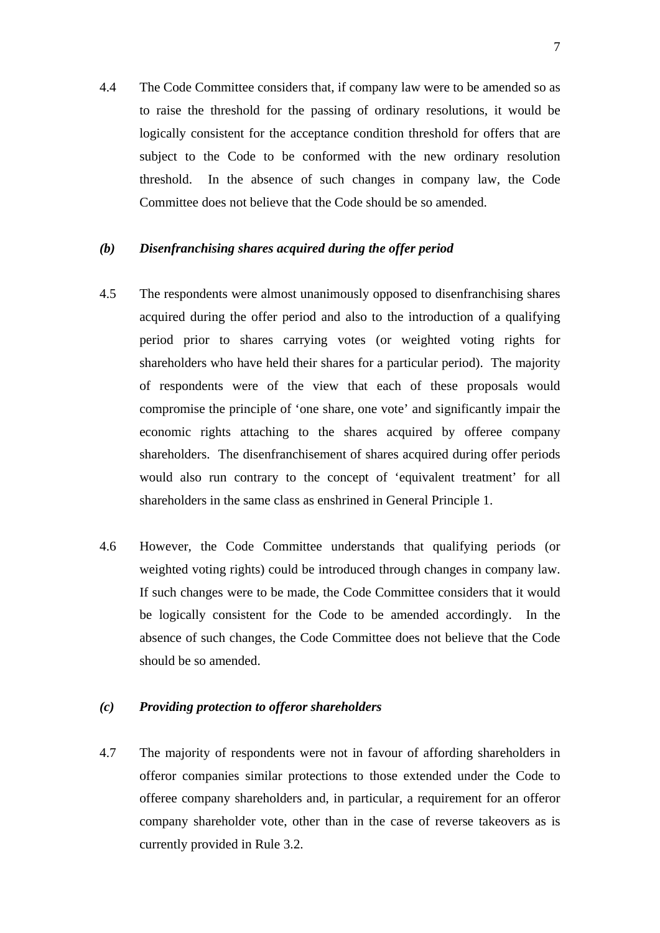4.4 The Code Committee considers that, if company law were to be amended so as to raise the threshold for the passing of ordinary resolutions, it would be logically consistent for the acceptance condition threshold for offers that are subject to the Code to be conformed with the new ordinary resolution threshold. In the absence of such changes in company law, the Code Committee does not believe that the Code should be so amended.

# *(b) Disenfranchising shares acquired during the offer period*

- 4.5 The respondents were almost unanimously opposed to disenfranchising shares acquired during the offer period and also to the introduction of a qualifying period prior to shares carrying votes (or weighted voting rights for shareholders who have held their shares for a particular period). The majority of respondents were of the view that each of these proposals would compromise the principle of 'one share, one vote' and significantly impair the economic rights attaching to the shares acquired by offeree company shareholders. The disenfranchisement of shares acquired during offer periods would also run contrary to the concept of 'equivalent treatment' for all shareholders in the same class as enshrined in General Principle 1.
- 4.6 However, the Code Committee understands that qualifying periods (or weighted voting rights) could be introduced through changes in company law. If such changes were to be made, the Code Committee considers that it would be logically consistent for the Code to be amended accordingly. In the absence of such changes, the Code Committee does not believe that the Code should be so amended.

### *(c) Providing protection to offeror shareholders*

4.7 The majority of respondents were not in favour of affording shareholders in offeror companies similar protections to those extended under the Code to offeree company shareholders and, in particular, a requirement for an offeror company shareholder vote, other than in the case of reverse takeovers as is currently provided in Rule 3.2.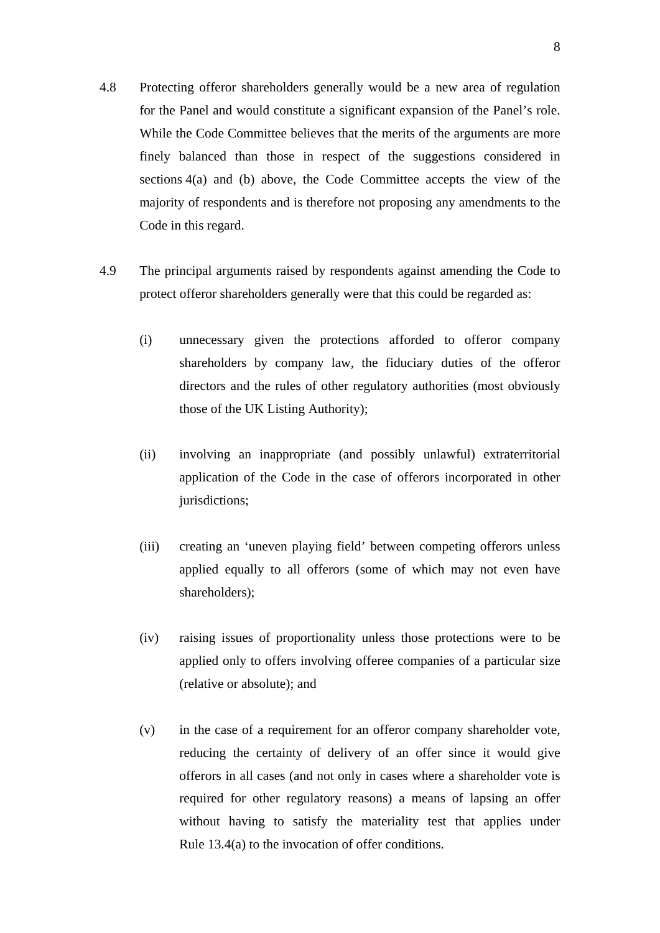- 4.8 Protecting offeror shareholders generally would be a new area of regulation for the Panel and would constitute a significant expansion of the Panel's role. While the Code Committee believes that the merits of the arguments are more finely balanced than those in respect of the suggestions considered in sections 4(a) and (b) above, the Code Committee accepts the view of the majority of respondents and is therefore not proposing any amendments to the Code in this regard.
- 4.9 The principal arguments raised by respondents against amending the Code to protect offeror shareholders generally were that this could be regarded as:
	- (i) unnecessary given the protections afforded to offeror company shareholders by company law, the fiduciary duties of the offeror directors and the rules of other regulatory authorities (most obviously those of the UK Listing Authority);
	- (ii) involving an inappropriate (and possibly unlawful) extraterritorial application of the Code in the case of offerors incorporated in other jurisdictions;
	- (iii) creating an 'uneven playing field' between competing offerors unless applied equally to all offerors (some of which may not even have shareholders);
	- (iv) raising issues of proportionality unless those protections were to be applied only to offers involving offeree companies of a particular size (relative or absolute); and
	- (v) in the case of a requirement for an offeror company shareholder vote, reducing the certainty of delivery of an offer since it would give offerors in all cases (and not only in cases where a shareholder vote is required for other regulatory reasons) a means of lapsing an offer without having to satisfy the materiality test that applies under Rule 13.4(a) to the invocation of offer conditions.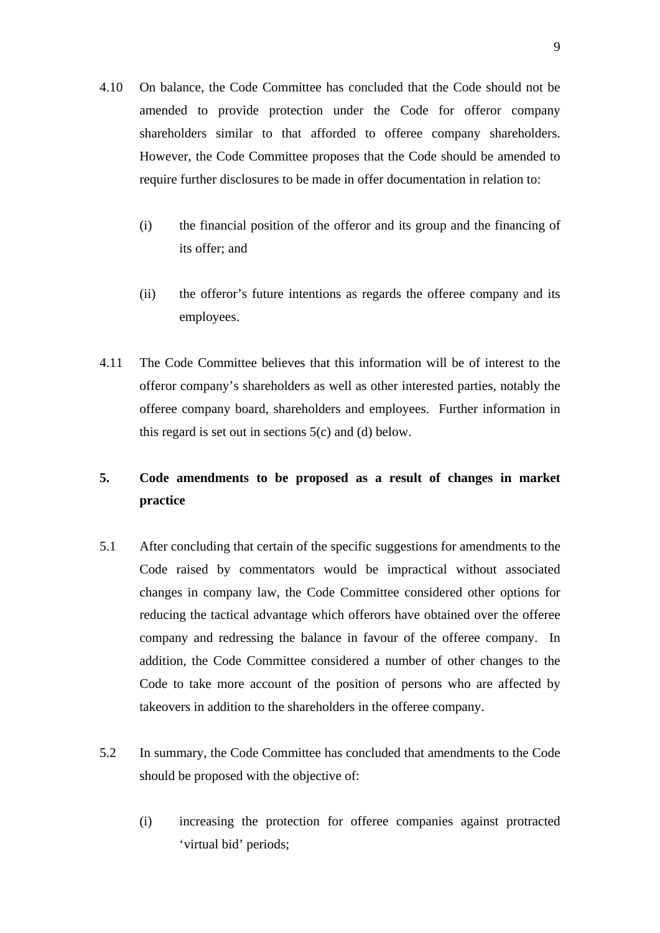- 4.10 On balance, the Code Committee has concluded that the Code should not be amended to provide protection under the Code for offeror company shareholders similar to that afforded to offeree company shareholders. However, the Code Committee proposes that the Code should be amended to require further disclosures to be made in offer documentation in relation to:
	- (i) the financial position of the offeror and its group and the financing of its offer; and
	- (ii) the offeror's future intentions as regards the offeree company and its employees.
- 4.11 The Code Committee believes that this information will be of interest to the offeror company's shareholders as well as other interested parties, notably the offeree company board, shareholders and employees. Further information in this regard is set out in sections  $5(c)$  and (d) below.

# **5. Code amendments to be proposed as a result of changes in market practice**

- 5.1 After concluding that certain of the specific suggestions for amendments to the Code raised by commentators would be impractical without associated changes in company law, the Code Committee considered other options for reducing the tactical advantage which offerors have obtained over the offeree company and redressing the balance in favour of the offeree company. In addition, the Code Committee considered a number of other changes to the Code to take more account of the position of persons who are affected by takeovers in addition to the shareholders in the offeree company.
- 5.2 In summary, the Code Committee has concluded that amendments to the Code should be proposed with the objective of:
	- (i) increasing the protection for offeree companies against protracted 'virtual bid' periods;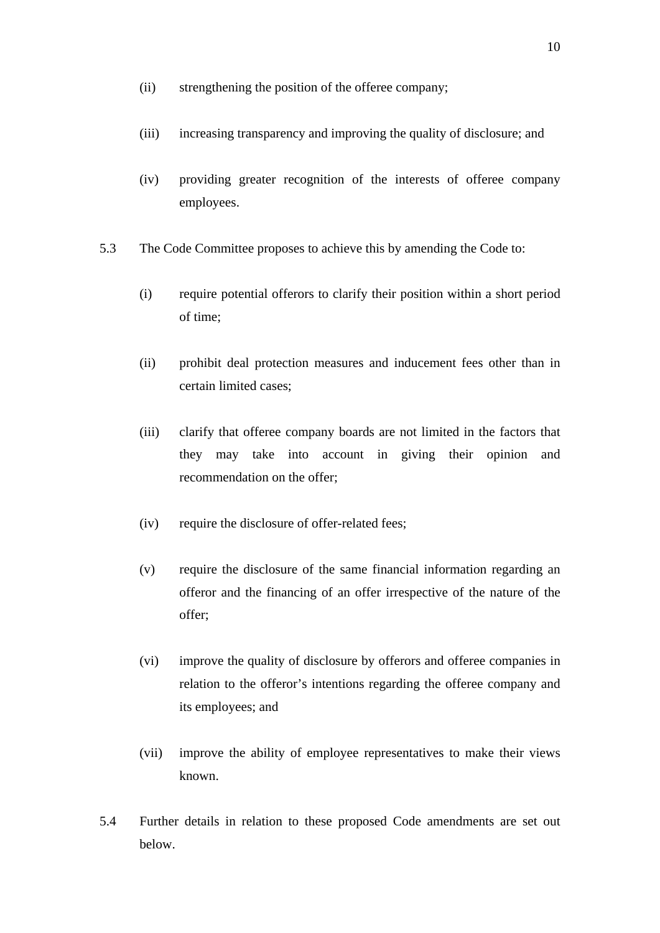- (ii) strengthening the position of the offeree company;
- (iii) increasing transparency and improving the quality of disclosure; and
- (iv) providing greater recognition of the interests of offeree company employees.
- 5.3 The Code Committee proposes to achieve this by amending the Code to:
	- (i) require potential offerors to clarify their position within a short period of time;
	- (ii) prohibit deal protection measures and inducement fees other than in certain limited cases;
	- (iii) clarify that offeree company boards are not limited in the factors that they may take into account in giving their opinion and recommendation on the offer;
	- (iv) require the disclosure of offer-related fees;
	- (v) require the disclosure of the same financial information regarding an offeror and the financing of an offer irrespective of the nature of the offer;
	- (vi) improve the quality of disclosure by offerors and offeree companies in relation to the offeror's intentions regarding the offeree company and its employees; and
	- (vii) improve the ability of employee representatives to make their views known.
- 5.4 Further details in relation to these proposed Code amendments are set out below.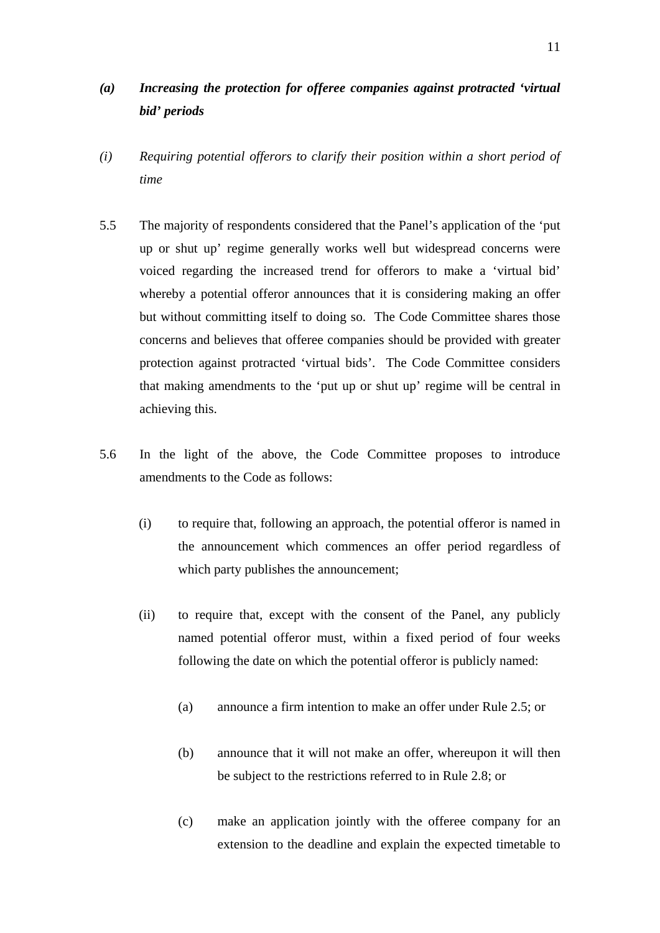# *(a) Increasing the protection for offeree companies against protracted 'virtual bid' periods*

- *(i) Requiring potential offerors to clarify their position within a short period of time*
- 5.5 The majority of respondents considered that the Panel's application of the 'put up or shut up' regime generally works well but widespread concerns were voiced regarding the increased trend for offerors to make a 'virtual bid' whereby a potential offeror announces that it is considering making an offer but without committing itself to doing so. The Code Committee shares those concerns and believes that offeree companies should be provided with greater protection against protracted 'virtual bids'. The Code Committee considers that making amendments to the 'put up or shut up' regime will be central in achieving this.
- 5.6 In the light of the above, the Code Committee proposes to introduce amendments to the Code as follows:
	- (i) to require that, following an approach, the potential offeror is named in the announcement which commences an offer period regardless of which party publishes the announcement;
	- (ii) to require that, except with the consent of the Panel, any publicly named potential offeror must, within a fixed period of four weeks following the date on which the potential offeror is publicly named:
		- (a) announce a firm intention to make an offer under Rule 2.5; or
		- (b) announce that it will not make an offer, whereupon it will then be subject to the restrictions referred to in Rule 2.8; or
		- (c) make an application jointly with the offeree company for an extension to the deadline and explain the expected timetable to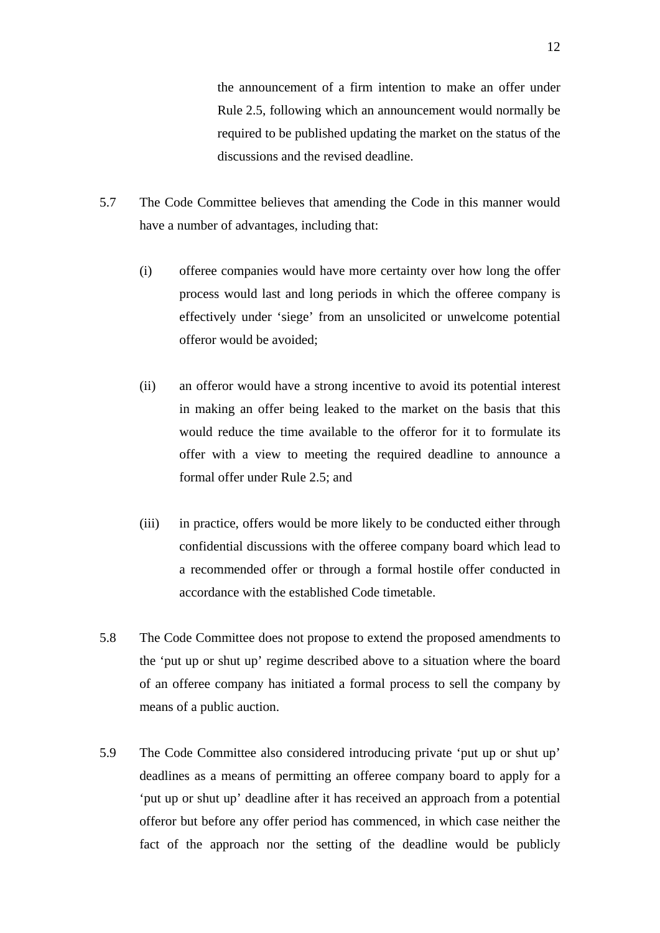the announcement of a firm intention to make an offer under Rule 2.5, following which an announcement would normally be required to be published updating the market on the status of the discussions and the revised deadline.

- 5.7 The Code Committee believes that amending the Code in this manner would have a number of advantages, including that:
	- (i) offeree companies would have more certainty over how long the offer process would last and long periods in which the offeree company is effectively under 'siege' from an unsolicited or unwelcome potential offeror would be avoided;
	- (ii) an offeror would have a strong incentive to avoid its potential interest in making an offer being leaked to the market on the basis that this would reduce the time available to the offeror for it to formulate its offer with a view to meeting the required deadline to announce a formal offer under Rule 2.5; and
	- (iii) in practice, offers would be more likely to be conducted either through confidential discussions with the offeree company board which lead to a recommended offer or through a formal hostile offer conducted in accordance with the established Code timetable.
- 5.8 The Code Committee does not propose to extend the proposed amendments to the 'put up or shut up' regime described above to a situation where the board of an offeree company has initiated a formal process to sell the company by means of a public auction.
- 5.9 The Code Committee also considered introducing private 'put up or shut up' deadlines as a means of permitting an offeree company board to apply for a 'put up or shut up' deadline after it has received an approach from a potential offeror but before any offer period has commenced, in which case neither the fact of the approach nor the setting of the deadline would be publicly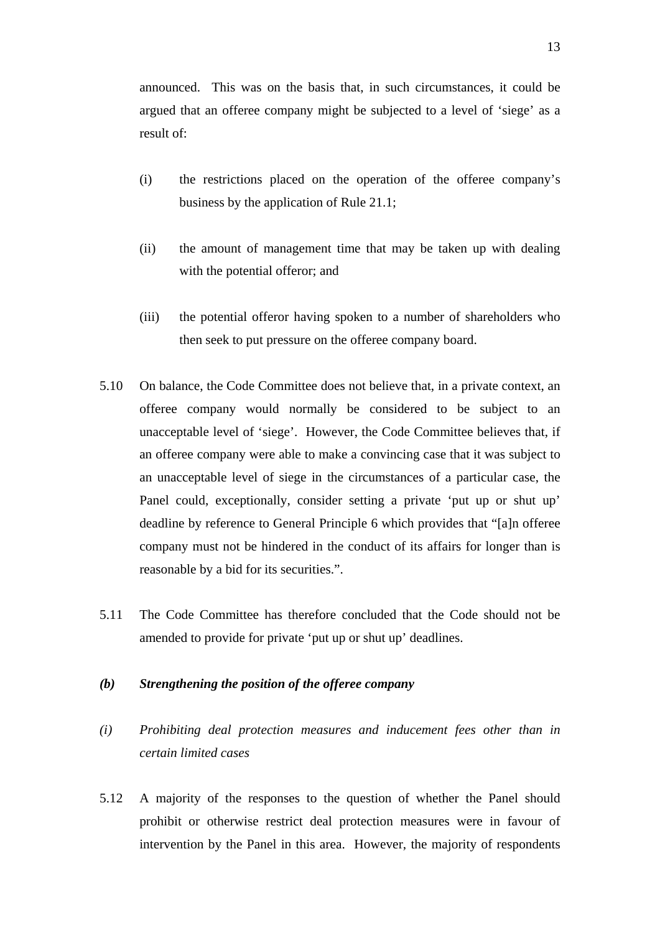announced. This was on the basis that, in such circumstances, it could be argued that an offeree company might be subjected to a level of 'siege' as a result of:

- (i) the restrictions placed on the operation of the offeree company's business by the application of Rule 21.1;
- (ii) the amount of management time that may be taken up with dealing with the potential offeror; and
- (iii) the potential offeror having spoken to a number of shareholders who then seek to put pressure on the offeree company board.
- 5.10 On balance, the Code Committee does not believe that, in a private context, an offeree company would normally be considered to be subject to an unacceptable level of 'siege'. However, the Code Committee believes that, if an offeree company were able to make a convincing case that it was subject to an unacceptable level of siege in the circumstances of a particular case, the Panel could, exceptionally, consider setting a private 'put up or shut up' deadline by reference to General Principle 6 which provides that "[a]n offeree company must not be hindered in the conduct of its affairs for longer than is reasonable by a bid for its securities.".
- 5.11 The Code Committee has therefore concluded that the Code should not be amended to provide for private 'put up or shut up' deadlines.

### *(b) Strengthening the position of the offeree company*

- *(i) Prohibiting deal protection measures and inducement fees other than in certain limited cases*
- 5.12 A majority of the responses to the question of whether the Panel should prohibit or otherwise restrict deal protection measures were in favour of intervention by the Panel in this area. However, the majority of respondents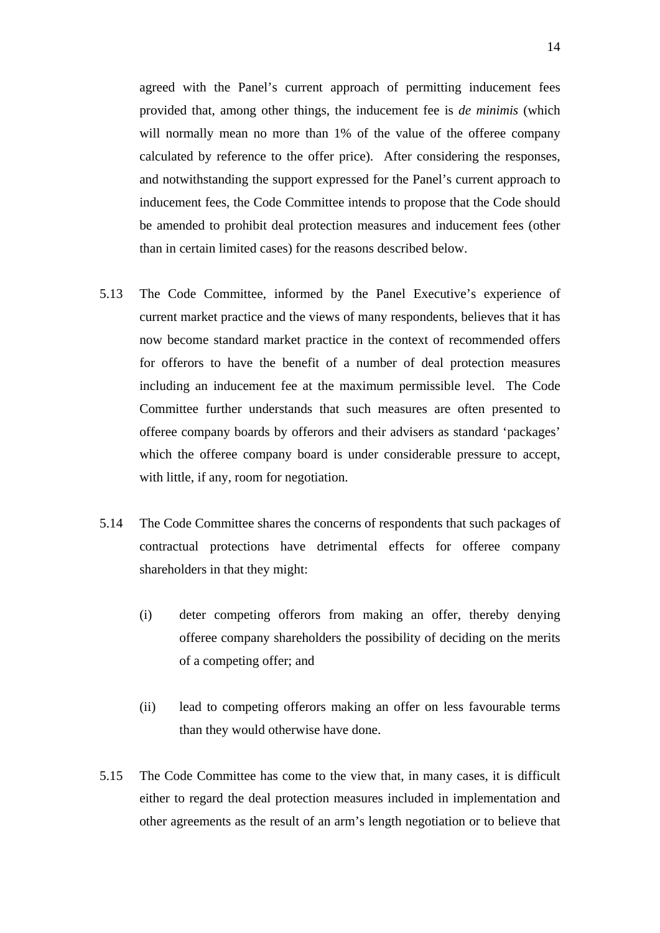agreed with the Panel's current approach of permitting inducement fees provided that, among other things, the inducement fee is *de minimis* (which will normally mean no more than 1% of the value of the offeree company calculated by reference to the offer price). After considering the responses, and notwithstanding the support expressed for the Panel's current approach to inducement fees, the Code Committee intends to propose that the Code should be amended to prohibit deal protection measures and inducement fees (other than in certain limited cases) for the reasons described below.

- 5.13 The Code Committee, informed by the Panel Executive's experience of current market practice and the views of many respondents, believes that it has now become standard market practice in the context of recommended offers for offerors to have the benefit of a number of deal protection measures including an inducement fee at the maximum permissible level. The Code Committee further understands that such measures are often presented to offeree company boards by offerors and their advisers as standard 'packages' which the offeree company board is under considerable pressure to accept, with little, if any, room for negotiation.
- 5.14 The Code Committee shares the concerns of respondents that such packages of contractual protections have detrimental effects for offeree company shareholders in that they might:
	- (i) deter competing offerors from making an offer, thereby denying offeree company shareholders the possibility of deciding on the merits of a competing offer; and
	- (ii) lead to competing offerors making an offer on less favourable terms than they would otherwise have done.
- 5.15 The Code Committee has come to the view that, in many cases, it is difficult either to regard the deal protection measures included in implementation and other agreements as the result of an arm's length negotiation or to believe that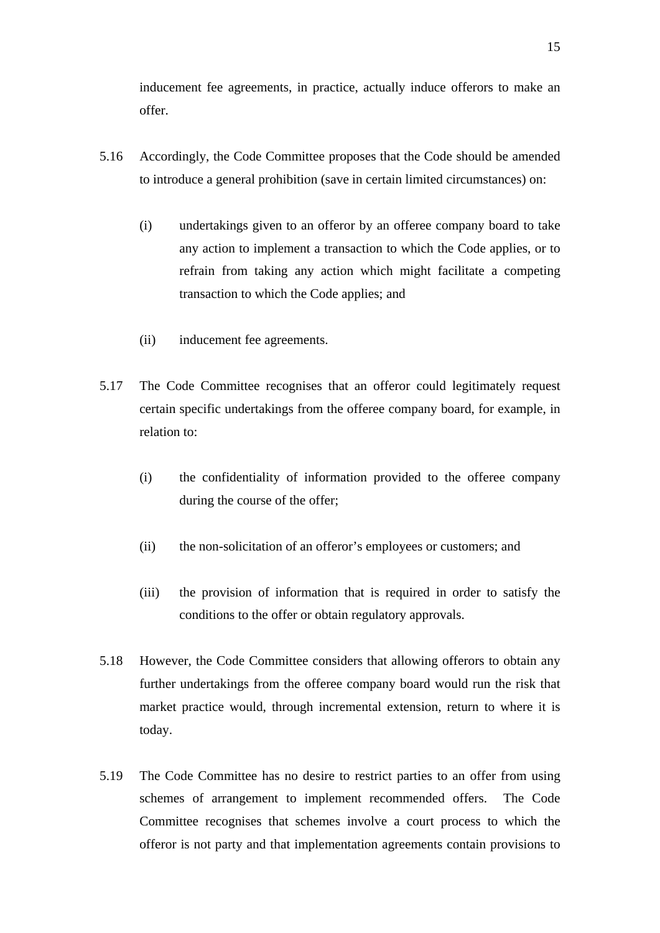inducement fee agreements, in practice, actually induce offerors to make an offer.

- 5.16 Accordingly, the Code Committee proposes that the Code should be amended to introduce a general prohibition (save in certain limited circumstances) on:
	- (i) undertakings given to an offeror by an offeree company board to take any action to implement a transaction to which the Code applies, or to refrain from taking any action which might facilitate a competing transaction to which the Code applies; and
	- (ii) inducement fee agreements.
- 5.17 The Code Committee recognises that an offeror could legitimately request certain specific undertakings from the offeree company board, for example, in relation to:
	- (i) the confidentiality of information provided to the offeree company during the course of the offer;
	- (ii) the non-solicitation of an offeror's employees or customers; and
	- (iii) the provision of information that is required in order to satisfy the conditions to the offer or obtain regulatory approvals.
- 5.18 However, the Code Committee considers that allowing offerors to obtain any further undertakings from the offeree company board would run the risk that market practice would, through incremental extension, return to where it is today.
- 5.19 The Code Committee has no desire to restrict parties to an offer from using schemes of arrangement to implement recommended offers. The Code Committee recognises that schemes involve a court process to which the offeror is not party and that implementation agreements contain provisions to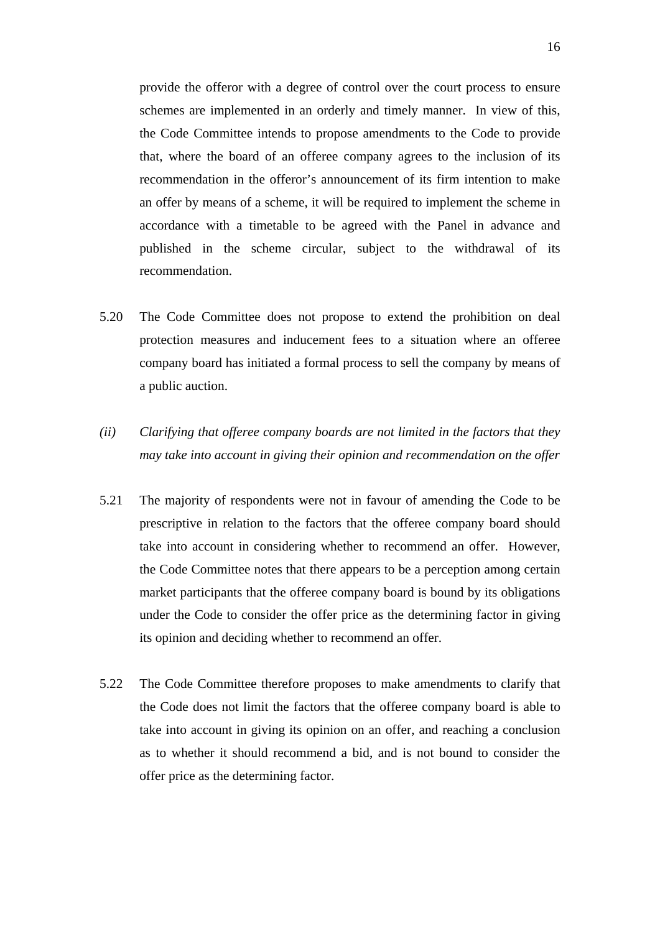provide the offeror with a degree of control over the court process to ensure schemes are implemented in an orderly and timely manner. In view of this, the Code Committee intends to propose amendments to the Code to provide that, where the board of an offeree company agrees to the inclusion of its recommendation in the offeror's announcement of its firm intention to make an offer by means of a scheme, it will be required to implement the scheme in accordance with a timetable to be agreed with the Panel in advance and published in the scheme circular, subject to the withdrawal of its recommendation.

- 5.20 The Code Committee does not propose to extend the prohibition on deal protection measures and inducement fees to a situation where an offeree company board has initiated a formal process to sell the company by means of a public auction.
- *(ii) Clarifying that offeree company boards are not limited in the factors that they may take into account in giving their opinion and recommendation on the offer*
- 5.21 The majority of respondents were not in favour of amending the Code to be prescriptive in relation to the factors that the offeree company board should take into account in considering whether to recommend an offer. However, the Code Committee notes that there appears to be a perception among certain market participants that the offeree company board is bound by its obligations under the Code to consider the offer price as the determining factor in giving its opinion and deciding whether to recommend an offer.
- 5.22 The Code Committee therefore proposes to make amendments to clarify that the Code does not limit the factors that the offeree company board is able to take into account in giving its opinion on an offer, and reaching a conclusion as to whether it should recommend a bid, and is not bound to consider the offer price as the determining factor.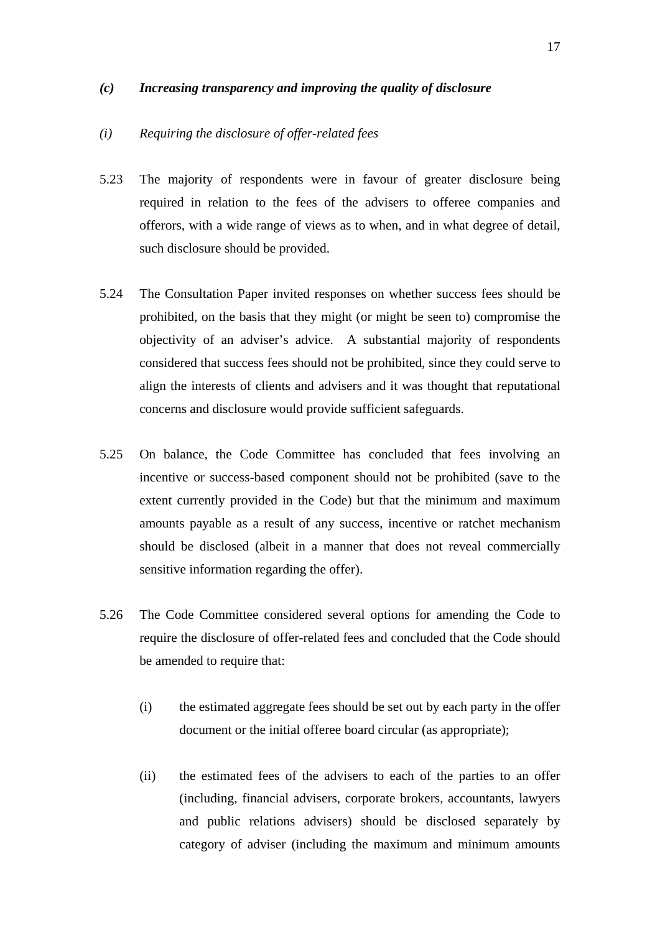#### *(c) Increasing transparency and improving the quality of disclosure*

#### *(i) Requiring the disclosure of offer-related fees*

- 5.23 The majority of respondents were in favour of greater disclosure being required in relation to the fees of the advisers to offeree companies and offerors, with a wide range of views as to when, and in what degree of detail, such disclosure should be provided.
- 5.24 The Consultation Paper invited responses on whether success fees should be prohibited, on the basis that they might (or might be seen to) compromise the objectivity of an adviser's advice. A substantial majority of respondents considered that success fees should not be prohibited, since they could serve to align the interests of clients and advisers and it was thought that reputational concerns and disclosure would provide sufficient safeguards.
- 5.25 On balance, the Code Committee has concluded that fees involving an incentive or success-based component should not be prohibited (save to the extent currently provided in the Code) but that the minimum and maximum amounts payable as a result of any success, incentive or ratchet mechanism should be disclosed (albeit in a manner that does not reveal commercially sensitive information regarding the offer).
- 5.26 The Code Committee considered several options for amending the Code to require the disclosure of offer-related fees and concluded that the Code should be amended to require that:
	- (i) the estimated aggregate fees should be set out by each party in the offer document or the initial offeree board circular (as appropriate);
	- (ii) the estimated fees of the advisers to each of the parties to an offer (including, financial advisers, corporate brokers, accountants, lawyers and public relations advisers) should be disclosed separately by category of adviser (including the maximum and minimum amounts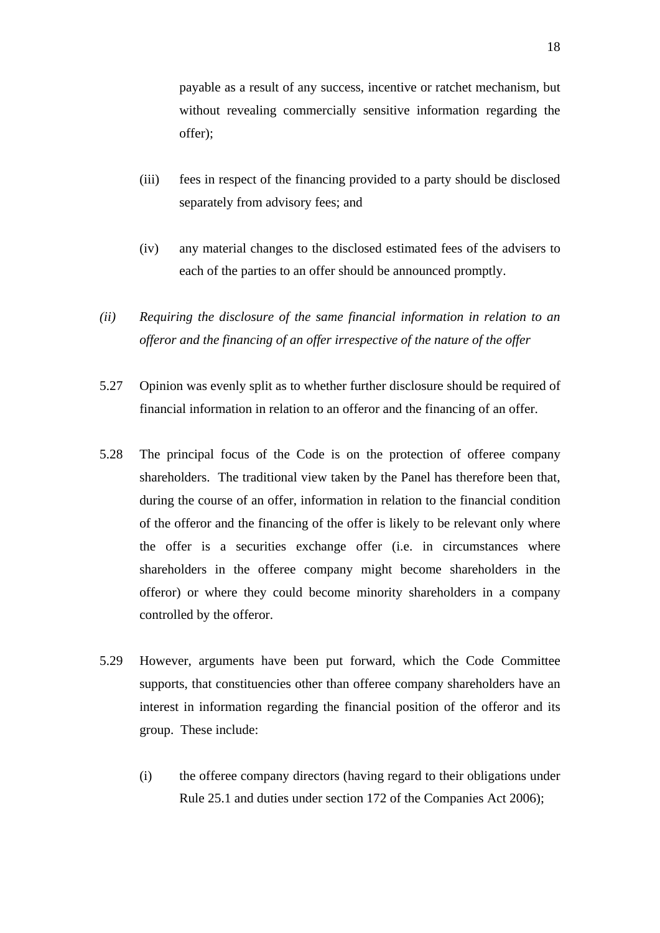payable as a result of any success, incentive or ratchet mechanism, but without revealing commercially sensitive information regarding the offer);

- (iii) fees in respect of the financing provided to a party should be disclosed separately from advisory fees; and
- (iv) any material changes to the disclosed estimated fees of the advisers to each of the parties to an offer should be announced promptly.
- *(ii) Requiring the disclosure of the same financial information in relation to an offeror and the financing of an offer irrespective of the nature of the offer*
- 5.27 Opinion was evenly split as to whether further disclosure should be required of financial information in relation to an offeror and the financing of an offer.
- 5.28 The principal focus of the Code is on the protection of offeree company shareholders. The traditional view taken by the Panel has therefore been that, during the course of an offer, information in relation to the financial condition of the offeror and the financing of the offer is likely to be relevant only where the offer is a securities exchange offer (i.e. in circumstances where shareholders in the offeree company might become shareholders in the offeror) or where they could become minority shareholders in a company controlled by the offeror.
- 5.29 However, arguments have been put forward, which the Code Committee supports, that constituencies other than offeree company shareholders have an interest in information regarding the financial position of the offeror and its group. These include:
	- (i) the offeree company directors (having regard to their obligations under Rule 25.1 and duties under section 172 of the Companies Act 2006);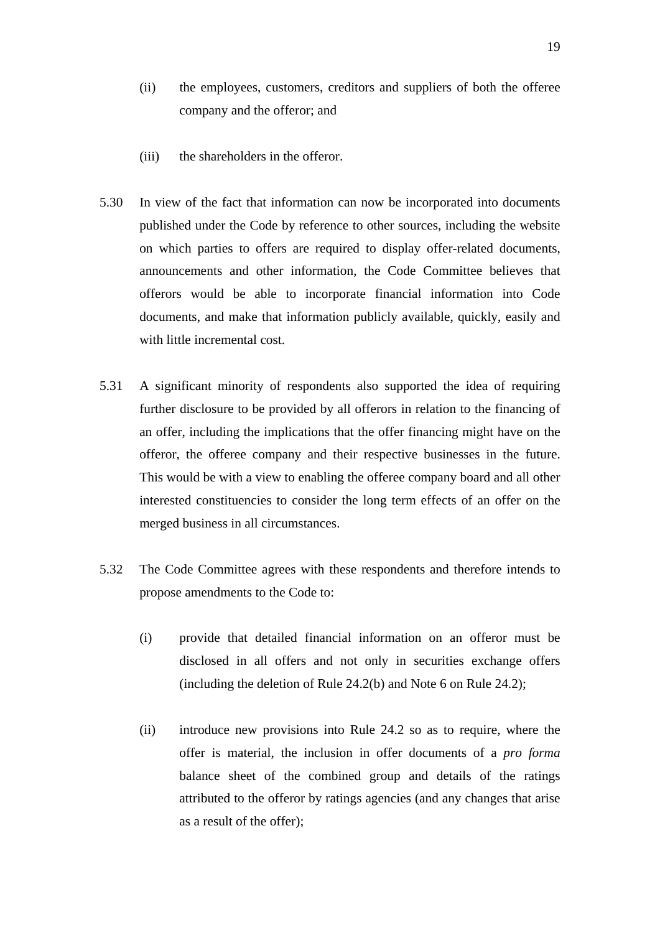- (ii) the employees, customers, creditors and suppliers of both the offeree company and the offeror; and
- (iii) the shareholders in the offeror.
- 5.30 In view of the fact that information can now be incorporated into documents published under the Code by reference to other sources, including the website on which parties to offers are required to display offer-related documents, announcements and other information, the Code Committee believes that offerors would be able to incorporate financial information into Code documents, and make that information publicly available, quickly, easily and with little incremental cost.
- 5.31 A significant minority of respondents also supported the idea of requiring further disclosure to be provided by all offerors in relation to the financing of an offer, including the implications that the offer financing might have on the offeror, the offeree company and their respective businesses in the future. This would be with a view to enabling the offeree company board and all other interested constituencies to consider the long term effects of an offer on the merged business in all circumstances.
- 5.32 The Code Committee agrees with these respondents and therefore intends to propose amendments to the Code to:
	- (i) provide that detailed financial information on an offeror must be disclosed in all offers and not only in securities exchange offers (including the deletion of Rule 24.2(b) and Note 6 on Rule 24.2);
	- (ii) introduce new provisions into Rule 24.2 so as to require, where the offer is material, the inclusion in offer documents of a *pro forma* balance sheet of the combined group and details of the ratings attributed to the offeror by ratings agencies (and any changes that arise as a result of the offer);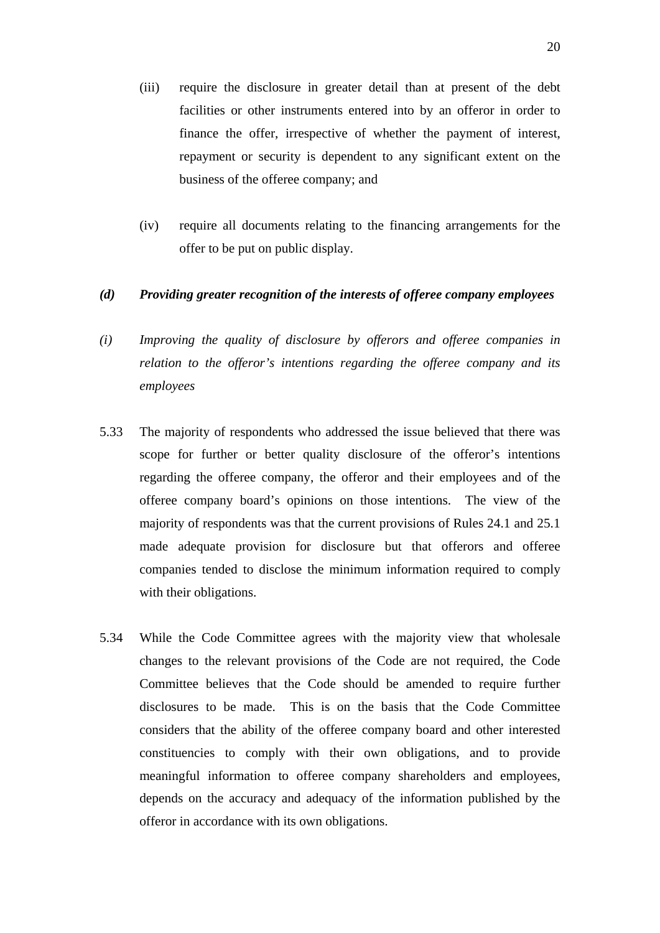- (iii) require the disclosure in greater detail than at present of the debt facilities or other instruments entered into by an offeror in order to finance the offer, irrespective of whether the payment of interest, repayment or security is dependent to any significant extent on the business of the offeree company; and
- (iv) require all documents relating to the financing arrangements for the offer to be put on public display.

### *(d) Providing greater recognition of the interests of offeree company employees*

- *(i) Improving the quality of disclosure by offerors and offeree companies in relation to the offeror's intentions regarding the offeree company and its employees*
- 5.33 The majority of respondents who addressed the issue believed that there was scope for further or better quality disclosure of the offeror's intentions regarding the offeree company, the offeror and their employees and of the offeree company board's opinions on those intentions. The view of the majority of respondents was that the current provisions of Rules 24.1 and 25.1 made adequate provision for disclosure but that offerors and offeree companies tended to disclose the minimum information required to comply with their obligations.
- 5.34 While the Code Committee agrees with the majority view that wholesale changes to the relevant provisions of the Code are not required, the Code Committee believes that the Code should be amended to require further disclosures to be made. This is on the basis that the Code Committee considers that the ability of the offeree company board and other interested constituencies to comply with their own obligations, and to provide meaningful information to offeree company shareholders and employees, depends on the accuracy and adequacy of the information published by the offeror in accordance with its own obligations.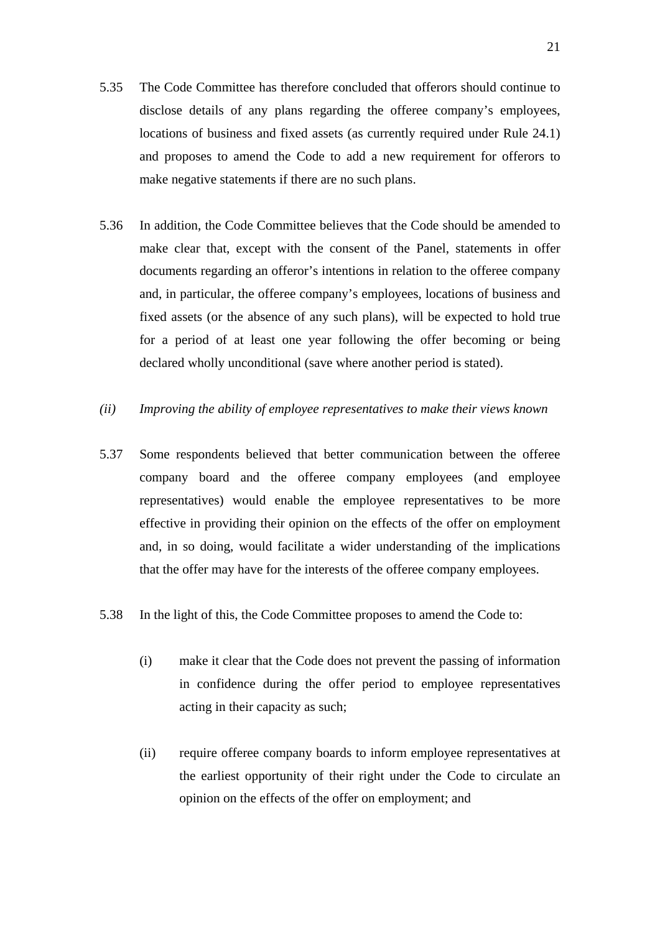- 5.35 The Code Committee has therefore concluded that offerors should continue to disclose details of any plans regarding the offeree company's employees, locations of business and fixed assets (as currently required under Rule 24.1) and proposes to amend the Code to add a new requirement for offerors to make negative statements if there are no such plans.
- 5.36 In addition, the Code Committee believes that the Code should be amended to make clear that, except with the consent of the Panel, statements in offer documents regarding an offeror's intentions in relation to the offeree company and, in particular, the offeree company's employees, locations of business and fixed assets (or the absence of any such plans), will be expected to hold true for a period of at least one year following the offer becoming or being declared wholly unconditional (save where another period is stated).
- *(ii) Improving the ability of employee representatives to make their views known*
- 5.37 Some respondents believed that better communication between the offeree company board and the offeree company employees (and employee representatives) would enable the employee representatives to be more effective in providing their opinion on the effects of the offer on employment and, in so doing, would facilitate a wider understanding of the implications that the offer may have for the interests of the offeree company employees.
- 5.38 In the light of this, the Code Committee proposes to amend the Code to:
	- (i) make it clear that the Code does not prevent the passing of information in confidence during the offer period to employee representatives acting in their capacity as such;
	- (ii) require offeree company boards to inform employee representatives at the earliest opportunity of their right under the Code to circulate an opinion on the effects of the offer on employment; and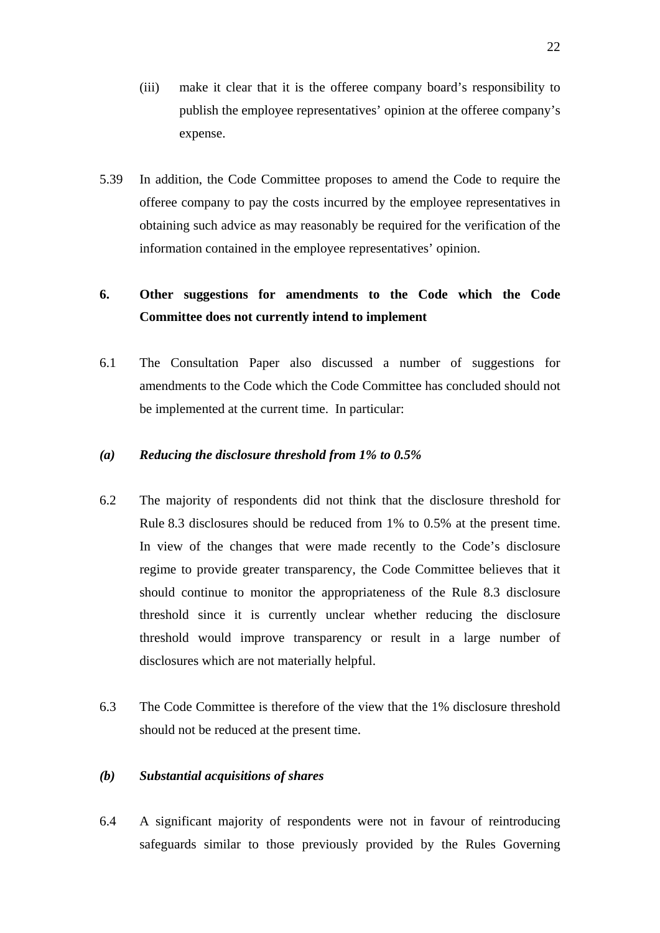- (iii) make it clear that it is the offeree company board's responsibility to publish the employee representatives' opinion at the offeree company's expense.
- 5.39 In addition, the Code Committee proposes to amend the Code to require the offeree company to pay the costs incurred by the employee representatives in obtaining such advice as may reasonably be required for the verification of the information contained in the employee representatives' opinion.

# **6. Other suggestions for amendments to the Code which the Code Committee does not currently intend to implement**

6.1 The Consultation Paper also discussed a number of suggestions for amendments to the Code which the Code Committee has concluded should not be implemented at the current time. In particular:

# *(a) Reducing the disclosure threshold from 1% to 0.5%*

- 6.2 The majority of respondents did not think that the disclosure threshold for Rule 8.3 disclosures should be reduced from 1% to 0.5% at the present time. In view of the changes that were made recently to the Code's disclosure regime to provide greater transparency, the Code Committee believes that it should continue to monitor the appropriateness of the Rule 8.3 disclosure threshold since it is currently unclear whether reducing the disclosure threshold would improve transparency or result in a large number of disclosures which are not materially helpful.
- 6.3 The Code Committee is therefore of the view that the 1% disclosure threshold should not be reduced at the present time.

### *(b) Substantial acquisitions of shares*

6.4 A significant majority of respondents were not in favour of reintroducing safeguards similar to those previously provided by the Rules Governing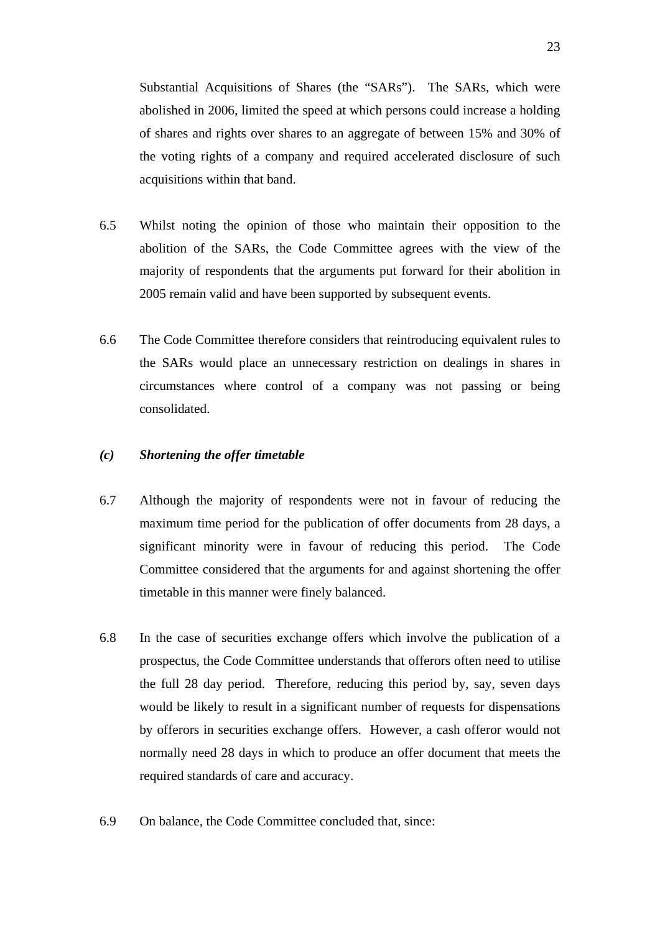Substantial Acquisitions of Shares (the "SARs"). The SARs, which were abolished in 2006, limited the speed at which persons could increase a holding of shares and rights over shares to an aggregate of between 15% and 30% of the voting rights of a company and required accelerated disclosure of such acquisitions within that band.

- 6.5 Whilst noting the opinion of those who maintain their opposition to the abolition of the SARs, the Code Committee agrees with the view of the majority of respondents that the arguments put forward for their abolition in 2005 remain valid and have been supported by subsequent events.
- 6.6 The Code Committee therefore considers that reintroducing equivalent rules to the SARs would place an unnecessary restriction on dealings in shares in circumstances where control of a company was not passing or being consolidated.

# *(c) Shortening the offer timetable*

- 6.7 Although the majority of respondents were not in favour of reducing the maximum time period for the publication of offer documents from 28 days, a significant minority were in favour of reducing this period. The Code Committee considered that the arguments for and against shortening the offer timetable in this manner were finely balanced.
- 6.8 In the case of securities exchange offers which involve the publication of a prospectus, the Code Committee understands that offerors often need to utilise the full 28 day period. Therefore, reducing this period by, say, seven days would be likely to result in a significant number of requests for dispensations by offerors in securities exchange offers. However, a cash offeror would not normally need 28 days in which to produce an offer document that meets the required standards of care and accuracy.
- 6.9 On balance, the Code Committee concluded that, since: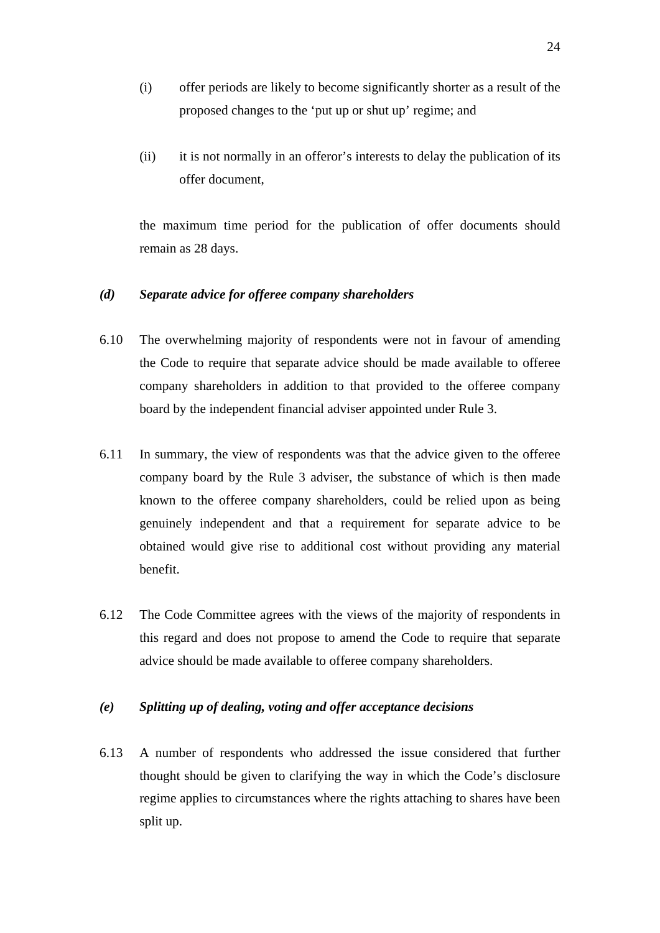- (i) offer periods are likely to become significantly shorter as a result of the proposed changes to the 'put up or shut up' regime; and
- (ii) it is not normally in an offeror's interests to delay the publication of its offer document,

the maximum time period for the publication of offer documents should remain as 28 days.

#### *(d) Separate advice for offeree company shareholders*

- 6.10 The overwhelming majority of respondents were not in favour of amending the Code to require that separate advice should be made available to offeree company shareholders in addition to that provided to the offeree company board by the independent financial adviser appointed under Rule 3.
- 6.11 In summary, the view of respondents was that the advice given to the offeree company board by the Rule 3 adviser, the substance of which is then made known to the offeree company shareholders, could be relied upon as being genuinely independent and that a requirement for separate advice to be obtained would give rise to additional cost without providing any material benefit.
- 6.12 The Code Committee agrees with the views of the majority of respondents in this regard and does not propose to amend the Code to require that separate advice should be made available to offeree company shareholders.

#### *(e) Splitting up of dealing, voting and offer acceptance decisions*

6.13 A number of respondents who addressed the issue considered that further thought should be given to clarifying the way in which the Code's disclosure regime applies to circumstances where the rights attaching to shares have been split up.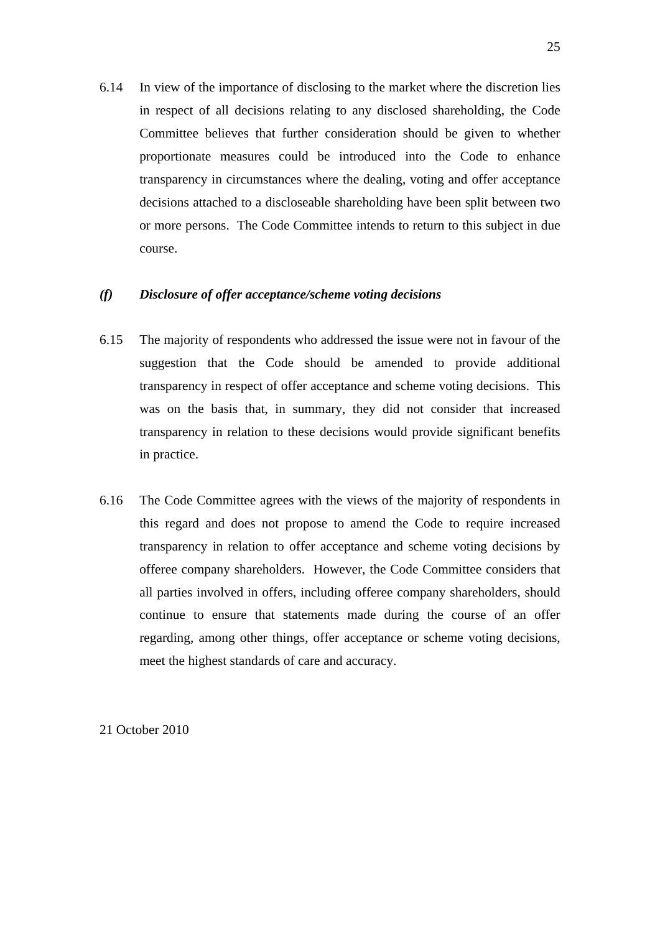6.14 In view of the importance of disclosing to the market where the discretion lies in respect of all decisions relating to any disclosed shareholding, the Code Committee believes that further consideration should be given to whether proportionate measures could be introduced into the Code to enhance transparency in circumstances where the dealing, voting and offer acceptance decisions attached to a discloseable shareholding have been split between two or more persons. The Code Committee intends to return to this subject in due course.

#### *(f) Disclosure of offer acceptance/scheme voting decisions*

- 6.15 The majority of respondents who addressed the issue were not in favour of the suggestion that the Code should be amended to provide additional transparency in respect of offer acceptance and scheme voting decisions. This was on the basis that, in summary, they did not consider that increased transparency in relation to these decisions would provide significant benefits in practice.
- 6.16 The Code Committee agrees with the views of the majority of respondents in this regard and does not propose to amend the Code to require increased transparency in relation to offer acceptance and scheme voting decisions by offeree company shareholders. However, the Code Committee considers that all parties involved in offers, including offeree company shareholders, should continue to ensure that statements made during the course of an offer regarding, among other things, offer acceptance or scheme voting decisions, meet the highest standards of care and accuracy.

21 October 2010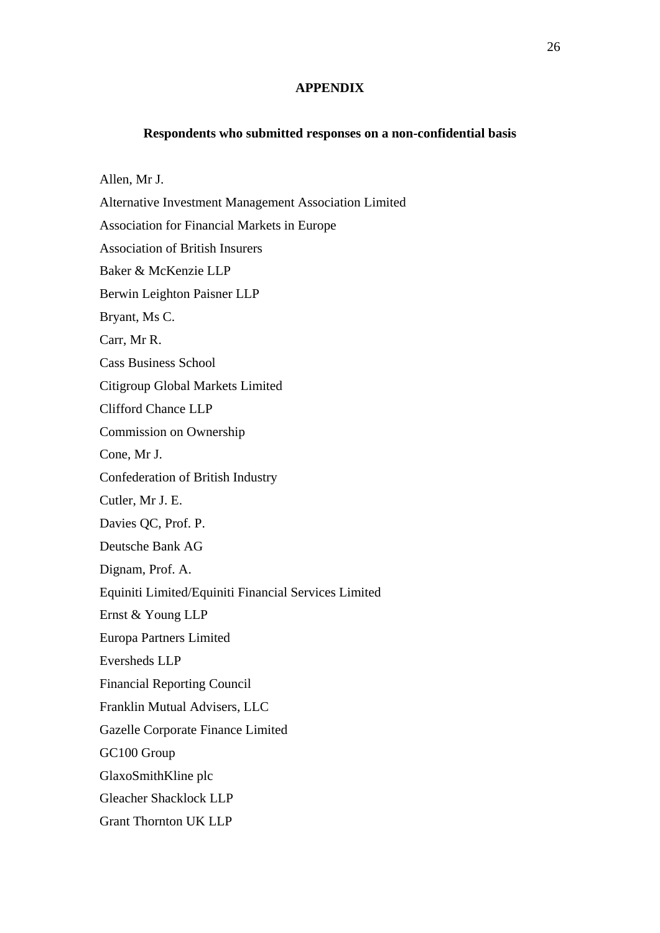#### **APPENDIX**

#### **Respondents who submitted responses on a non-confidential basis**

Allen, Mr J. Alternative Investment Management Association Limited Association for Financial Markets in Europe Association of British Insurers Baker & McKenzie LLP Berwin Leighton Paisner LLP Bryant, Ms C. Carr, Mr R. Cass Business School Citigroup Global Markets Limited Clifford Chance LLP Commission on Ownership Cone, Mr J. Confederation of British Industry Cutler, Mr J. E. Davies QC, Prof. P. Deutsche Bank AG Dignam, Prof. A. Equiniti Limited/Equiniti Financial Services Limited Ernst & Young LLP Europa Partners Limited Eversheds LLP Financial Reporting Council Franklin Mutual Advisers, LLC Gazelle Corporate Finance Limited GC100 Group GlaxoSmithKline plc Gleacher Shacklock LLP Grant Thornton UK LLP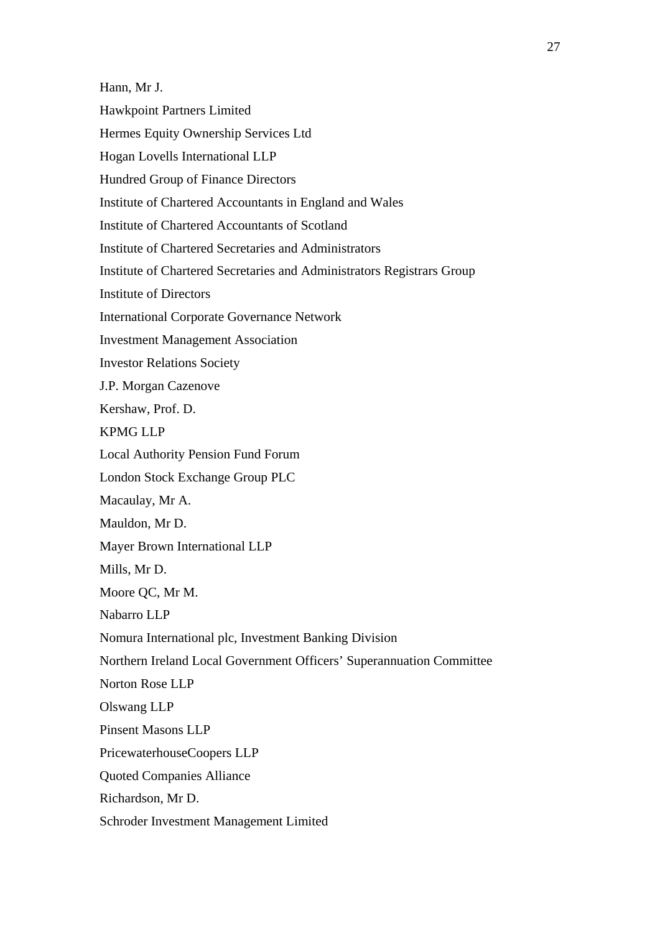Hann, Mr J. Hawkpoint Partners Limited Hermes Equity Ownership Services Ltd Hogan Lovells International LLP Hundred Group of Finance Directors Institute of Chartered Accountants in England and Wales Institute of Chartered Accountants of Scotland Institute of Chartered Secretaries and Administrators Institute of Chartered Secretaries and Administrators Registrars Group Institute of Directors International Corporate Governance Network Investment Management Association Investor Relations Society J.P. Morgan Cazenove Kershaw, Prof. D. KPMG LLP Local Authority Pension Fund Forum London Stock Exchange Group PLC Macaulay, Mr A. Mauldon, Mr D. Mayer Brown International LLP Mills, Mr D. Moore QC, Mr M. Nabarro LLP Nomura International plc, Investment Banking Division Northern Ireland Local Government Officers' Superannuation Committee Norton Rose LLP Olswang LLP Pinsent Masons LLP PricewaterhouseCoopers LLP Quoted Companies Alliance Richardson, Mr D. Schroder Investment Management Limited